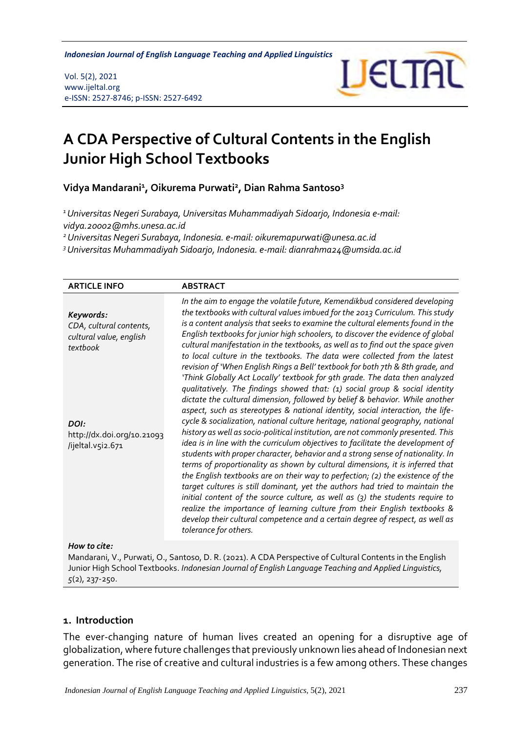*Indonesian Journal of English Language Teaching and Applied Linguistics* 

Vol. 5(2), 2021 www.ijeltal.org e-ISSN: 2527-8746; p-ISSN: 2527-6492



# **A CDA Perspective of Cultural Contents in the English Junior High School Textbooks**

**Vidya Mandarani<sup>1</sup> , Oikurema Purwati<sup>2</sup> , Dian Rahma Santoso<sup>3</sup>**

*<sup>1</sup>Universitas Negeri Surabaya, Universitas Muhammadiyah Sidoarjo, Indonesia e-mail: [vidya.20002@mhs.unesa.ac.id](mailto:vidya.20002@mhs.unesa.ac.id)*

*<sup>2</sup>Universitas Negeri Surabaya, Indonesia. e-mail: [oikuremapurwati@unesa.ac.id](mailto:oikuremapurwati@unesa.ac.id)*

*<sup>3</sup>Universitas Muhammadiyah Sidoarjo, Indonesia. e-mail: dianrahma24@umsida.ac.id*

| <b>ARTICLE INFO</b>                                                                                                                                                                                                | <b>ABSTRACT</b>                                                                                                                                                                                                                                                                                                                                                                                                                                                                                                                                                                                                                                                                                                                                                                                                                                                                                                                                                                                                                                                                                                                                                                                    |
|--------------------------------------------------------------------------------------------------------------------------------------------------------------------------------------------------------------------|----------------------------------------------------------------------------------------------------------------------------------------------------------------------------------------------------------------------------------------------------------------------------------------------------------------------------------------------------------------------------------------------------------------------------------------------------------------------------------------------------------------------------------------------------------------------------------------------------------------------------------------------------------------------------------------------------------------------------------------------------------------------------------------------------------------------------------------------------------------------------------------------------------------------------------------------------------------------------------------------------------------------------------------------------------------------------------------------------------------------------------------------------------------------------------------------------|
| Keywords:<br>CDA, cultural contents,<br>cultural value, english<br>textbook                                                                                                                                        | In the aim to engage the volatile future, Kemendikbud considered developing<br>the textbooks with cultural values imbued for the 2013 Curriculum. This study<br>is a content analysis that seeks to examine the cultural elements found in the<br>English textbooks for junior high schoolers, to discover the evidence of global<br>cultural manifestation in the textbooks, as well as to find out the space given<br>to local culture in the textbooks. The data were collected from the latest<br>revision of 'When English Rings a Bell' textbook for both 7th & 8th grade, and                                                                                                                                                                                                                                                                                                                                                                                                                                                                                                                                                                                                               |
| DOI:<br>http://dx.doi.org/10.21093<br>/ijeltal.v5i2.671                                                                                                                                                            | 'Think Globally Act Locally' textbook for 9th grade. The data then analyzed<br>qualitatively. The findings showed that: (1) social group & social identity<br>dictate the cultural dimension, followed by belief & behavior. While another<br>aspect, such as stereotypes & national identity, social interaction, the life-<br>cycle & socialization, national culture heritage, national geography, national<br>history as well as socio-political institution, are not commonly presented. This<br>idea is in line with the curriculum objectives to facilitate the development of<br>students with proper character, behavior and a strong sense of nationality. In<br>terms of proportionality as shown by cultural dimensions, it is inferred that<br>the English textbooks are on their way to perfection; (2) the existence of the<br>target cultures is still dominant, yet the authors had tried to maintain the<br>initial content of the source culture, as well as (3) the students require to<br>realize the importance of learning culture from their English textbooks &<br>develop their cultural competence and a certain degree of respect, as well as<br>tolerance for others. |
| How to cite:                                                                                                                                                                                                       |                                                                                                                                                                                                                                                                                                                                                                                                                                                                                                                                                                                                                                                                                                                                                                                                                                                                                                                                                                                                                                                                                                                                                                                                    |
| Mandarani, V., Purwati, O., Santoso, D. R. (2021). A CDA Perspective of Cultural Contents in the English<br>Junior High School Textbooks. Indonesian Journal of English Language Teaching and Applied Linguistics, |                                                                                                                                                                                                                                                                                                                                                                                                                                                                                                                                                                                                                                                                                                                                                                                                                                                                                                                                                                                                                                                                                                                                                                                                    |

*5*(2), 237-250.

#### **1. Introduction**

The ever-changing nature of human lives created an opening for a disruptive age of globalization, where future challenges that previously unknown lies ahead of Indonesian next generation. The rise of creative and cultural industries is a few among others. These changes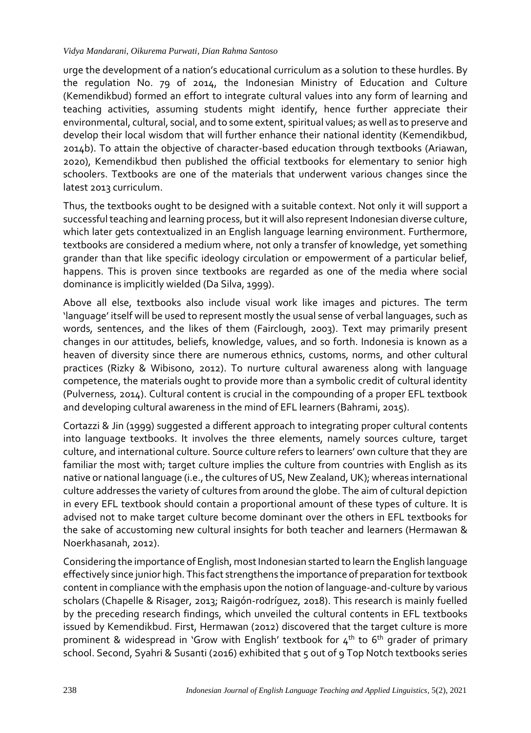#### *Vidya Mandarani, Oikurema Purwati, Dian Rahma Santoso*

urge the development of a nation's educational curriculum as a solution to these hurdles. By the regulation No. 79 of 2014, the Indonesian Ministry of Education and Culture (Kemendikbud) formed an effort to integrate cultural values into any form of learning and teaching activities, assuming students might identify, hence further appreciate their environmental, cultural, social, and to some extent, spiritual values; as well as to preserve and develop their local wisdom that will further enhance their national identity (Kemendikbud, 2014b). To attain the objective of character-based education through textbooks (Ariawan, 2020), Kemendikbud then published the official textbooks for elementary to senior high schoolers. Textbooks are one of the materials that underwent various changes since the latest 2013 curriculum.

Thus, the textbooks ought to be designed with a suitable context. Not only it will support a successful teaching and learning process, but it will also represent Indonesian diverse culture, which later gets contextualized in an English language learning environment. Furthermore, textbooks are considered a medium where, not only a transfer of knowledge, yet something grander than that like specific ideology circulation or empowerment of a particular belief, happens. This is proven since textbooks are regarded as one of the media where social dominance is implicitly wielded (Da Silva, 1999).

Above all else, textbooks also include visual work like images and pictures. The term 'language' itself will be used to represent mostly the usual sense of verbal languages, such as words, sentences, and the likes of them (Fairclough, 2003). Text may primarily present changes in our attitudes, beliefs, knowledge, values, and so forth. Indonesia is known as a heaven of diversity since there are numerous ethnics, customs, norms, and other cultural practices (Rizky & Wibisono, 2012). To nurture cultural awareness along with language competence, the materials ought to provide more than a symbolic credit of cultural identity (Pulverness, 2014). Cultural content is crucial in the compounding of a proper EFL textbook and developing cultural awareness in the mind of EFL learners (Bahrami, 2015).

Cortazzi & Jin (1999) suggested a different approach to integrating proper cultural contents into language textbooks. It involves the three elements, namely sources culture, target culture, and international culture. Source culture refers to learners' own culture that they are familiar the most with; target culture implies the culture from countries with English as its native or national language (i.e., the cultures of US, New Zealand, UK); whereas international culture addresses the variety of cultures from around the globe. The aim of cultural depiction in every EFL textbook should contain a proportional amount of these types of culture. It is advised not to make target culture become dominant over the others in EFL textbooks for the sake of accustoming new cultural insights for both teacher and learners (Hermawan & Noerkhasanah, 2012).

Considering the importance of English, most Indonesian started to learn the English language effectively since junior high. This fact strengthens the importance of preparation for textbook content in compliance with the emphasis upon the notion of language-and-culture by various scholars (Chapelle & Risager, 2013; Raigón-rodríguez, 2018). This research is mainly fuelled by the preceding research findings, which unveiled the cultural contents in EFL textbooks issued by Kemendikbud. First, Hermawan (2012) discovered that the target culture is more prominent & widespread in 'Grow with English' textbook for  $4<sup>th</sup>$  to 6<sup>th</sup> grader of primary school. Second, Syahri & Susanti (2016) exhibited that 5 out of 9 Top Notch textbooks series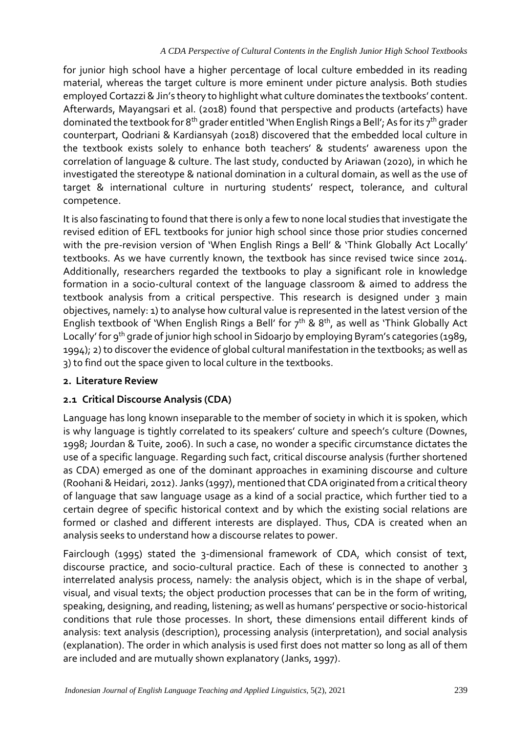for junior high school have a higher percentage of local culture embedded in its reading material, whereas the target culture is more eminent under picture analysis. Both studies employed Cortazzi & Jin's theory to highlight what culture dominates the textbooks' content. Afterwards, Mayangsari et al. (2018) found that perspective and products (artefacts) have dominated the textbook for 8<sup>th</sup> grader entitled 'When English Rings a Bell'; As for its  $7<sup>th</sup>$  grader counterpart, Qodriani & Kardiansyah (2018) discovered that the embedded local culture in the textbook exists solely to enhance both teachers' & students' awareness upon the correlation of language & culture. The last study, conducted by Ariawan (2020), in which he investigated the stereotype & national domination in a cultural domain, as well as the use of target & international culture in nurturing students' respect, tolerance, and cultural competence.

It is also fascinating to found that there is only a few to none local studies that investigate the revised edition of EFL textbooks for junior high school since those prior studies concerned with the pre-revision version of 'When English Rings a Bell' & 'Think Globally Act Locally' textbooks. As we have currently known, the textbook has since revised twice since 2014. Additionally, researchers regarded the textbooks to play a significant role in knowledge formation in a socio-cultural context of the language classroom & aimed to address the textbook analysis from a critical perspective. This research is designed under 3 main objectives, namely: 1) to analyse how cultural value is represented in the latest version of the English textbook of 'When English Rings a Bell' for  $7<sup>th</sup>$  & 8<sup>th</sup>, as well as 'Think Globally Act Locally' for 9<sup>th</sup> grade of junior high school in Sidoarjo by employing Byram's categories (1989, 1994); 2) to discover the evidence of global cultural manifestation in the textbooks; as well as 3) to find out the space given to local culture in the textbooks.

## **2. Literature Review**

# **2.1 Critical Discourse Analysis (CDA)**

Language has long known inseparable to the member of society in which it is spoken, which is why language is tightly correlated to its speakers' culture and speech's culture (Downes, 1998; Jourdan & Tuite, 2006). In such a case, no wonder a specific circumstance dictates the use of a specific language. Regarding such fact, critical discourse analysis (further shortened as CDA) emerged as one of the dominant approaches in examining discourse and culture (Roohani & Heidari, 2012). Janks (1997), mentioned that CDA originated from a critical theory of language that saw language usage as a kind of a social practice, which further tied to a certain degree of specific historical context and by which the existing social relations are formed or clashed and different interests are displayed. Thus, CDA is created when an analysis seeks to understand how a discourse relates to power.

Fairclough (1995) stated the 3-dimensional framework of CDA, which consist of text, discourse practice, and socio-cultural practice. Each of these is connected to another 3 interrelated analysis process, namely: the analysis object, which is in the shape of verbal, visual, and visual texts; the object production processes that can be in the form of writing, speaking, designing, and reading, listening; as well as humans' perspective or socio-historical conditions that rule those processes. In short, these dimensions entail different kinds of analysis: text analysis (description), processing analysis (interpretation), and social analysis (explanation). The order in which analysis is used first does not matter so long as all of them are included and are mutually shown explanatory (Janks, 1997).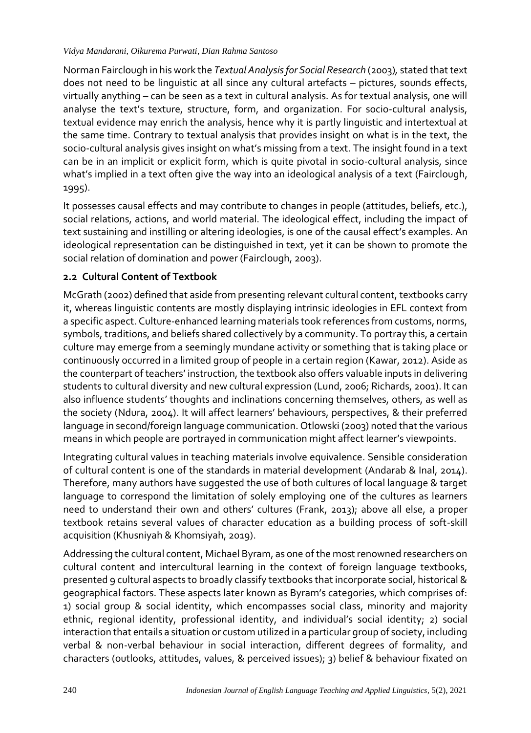#### *Vidya Mandarani, Oikurema Purwati, Dian Rahma Santoso*

Norman Fairclough in his work the *Textual Analysis for Social Research* (2003)*,* stated that text does not need to be linguistic at all since any cultural artefacts – pictures, sounds effects, virtually anything – can be seen as a text in cultural analysis. As for textual analysis, one will analyse the text's texture, structure, form, and organization. For socio-cultural analysis, textual evidence may enrich the analysis, hence why it is partly linguistic and intertextual at the same time. Contrary to textual analysis that provides insight on what is in the text, the socio-cultural analysis gives insight on what's missing from a text. The insight found in a text can be in an implicit or explicit form, which is quite pivotal in socio-cultural analysis, since what's implied in a text often give the way into an ideological analysis of a text (Fairclough, 1995).

It possesses causal effects and may contribute to changes in people (attitudes, beliefs, etc.), social relations, actions, and world material. The ideological effect, including the impact of text sustaining and instilling or altering ideologies, is one of the causal effect's examples. An ideological representation can be distinguished in text, yet it can be shown to promote the social relation of domination and power (Fairclough, 2003).

# **2.2 Cultural Content of Textbook**

McGrath (2002) defined that aside from presenting relevant cultural content, textbooks carry it, whereas linguistic contents are mostly displaying intrinsic ideologies in EFL context from a specific aspect. Culture-enhanced learning materials took references from customs, norms, symbols, traditions, and beliefs shared collectively by a community. To portray this, a certain culture may emerge from a seemingly mundane activity or something that is taking place or continuously occurred in a limited group of people in a certain region (Kawar, 2012). Aside as the counterpart of teachers' instruction, the textbook also offers valuable inputs in delivering students to cultural diversity and new cultural expression (Lund, 2006; Richards, 2001). It can also influence students' thoughts and inclinations concerning themselves, others, as well as the society (Ndura, 2004). It will affect learners' behaviours, perspectives, & their preferred language in second/foreign language communication. Otlowski (2003) noted that the various means in which people are portrayed in communication might affect learner's viewpoints.

Integrating cultural values in teaching materials involve equivalence. Sensible consideration of cultural content is one of the standards in material development (Andarab & Inal, 2014). Therefore, many authors have suggested the use of both cultures of local language & target language to correspond the limitation of solely employing one of the cultures as learners need to understand their own and others' cultures (Frank, 2013); above all else, a proper textbook retains several values of character education as a building process of soft-skill acquisition (Khusniyah & Khomsiyah, 2019).

Addressing the cultural content, Michael Byram, as one of the most renowned researchers on cultural content and intercultural learning in the context of foreign language textbooks, presented 9 cultural aspects to broadly classify textbooks that incorporate social, historical & geographical factors. These aspects later known as Byram's categories, which comprises of: 1) social group & social identity, which encompasses social class, minority and majority ethnic, regional identity, professional identity, and individual's social identity; 2) social interaction that entails a situation or custom utilized in a particular group of society, including verbal & non-verbal behaviour in social interaction, different degrees of formality, and characters (outlooks, attitudes, values, & perceived issues); 3) belief & behaviour fixated on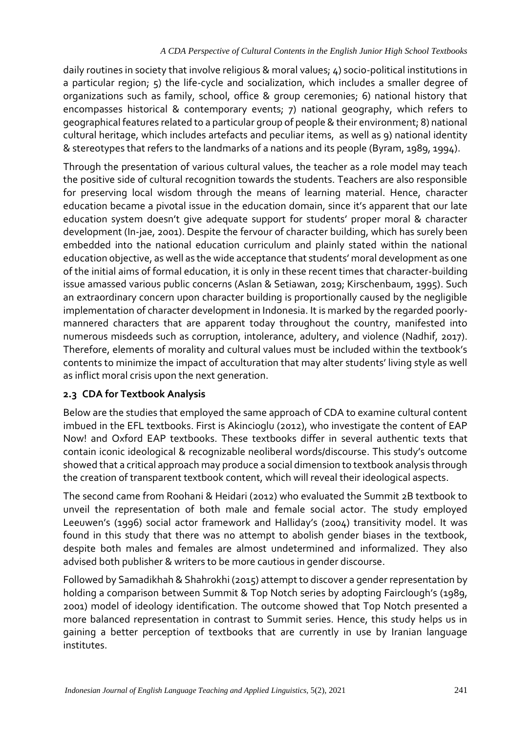daily routines in society that involve religious & moral values; 4) socio-political institutions in a particular region; 5) the life-cycle and socialization, which includes a smaller degree of organizations such as family, school, office & group ceremonies; 6) national history that encompasses historical & contemporary events; 7) national geography, which refers to geographical features related to a particular group of people & their environment; 8) national cultural heritage, which includes artefacts and peculiar items, as well as 9) national identity & stereotypes that refers to the landmarks of a nations and its people (Byram, 1989, 1994).

Through the presentation of various cultural values, the teacher as a role model may teach the positive side of cultural recognition towards the students. Teachers are also responsible for preserving local wisdom through the means of learning material. Hence, character education became a pivotal issue in the education domain, since it's apparent that our late education system doesn't give adequate support for students' proper moral & character development (In-jae, 2001). Despite the fervour of character building, which has surely been embedded into the national education curriculum and plainly stated within the national education objective, as well as the wide acceptance that students' moral development as one of the initial aims of formal education, it is only in these recent times that character-building issue amassed various public concerns (Aslan & Setiawan, 2019; Kirschenbaum, 1995). Such an extraordinary concern upon character building is proportionally caused by the negligible implementation of character development in Indonesia. It is marked by the regarded poorlymannered characters that are apparent today throughout the country, manifested into numerous misdeeds such as corruption, intolerance, adultery, and violence (Nadhif, 2017). Therefore, elements of morality and cultural values must be included within the textbook's contents to minimize the impact of acculturation that may alter students' living style as well as inflict moral crisis upon the next generation.

## **2.3 CDA for Textbook Analysis**

Below are the studies that employed the same approach of CDA to examine cultural content imbued in the EFL textbooks. First is Akincioglu (2012), who investigate the content of EAP Now! and Oxford EAP textbooks. These textbooks differ in several authentic texts that contain iconic ideological & recognizable neoliberal words/discourse. This study's outcome showed that a critical approach may produce a social dimension to textbook analysis through the creation of transparent textbook content, which will reveal their ideological aspects.

The second came from Roohani & Heidari (2012) who evaluated the Summit 2B textbook to unveil the representation of both male and female social actor. The study employed Leeuwen's (1996) social actor framework and Halliday's (2004) transitivity model. It was found in this study that there was no attempt to abolish gender biases in the textbook, despite both males and females are almost undetermined and informalized. They also advised both publisher & writers to be more cautious in gender discourse.

Followed by Samadikhah & Shahrokhi (2015) attempt to discover a gender representation by holding a comparison between Summit & Top Notch series by adopting Fairclough's (1989, 2001) model of ideology identification. The outcome showed that Top Notch presented a more balanced representation in contrast to Summit series. Hence, this study helps us in gaining a better perception of textbooks that are currently in use by Iranian language institutes.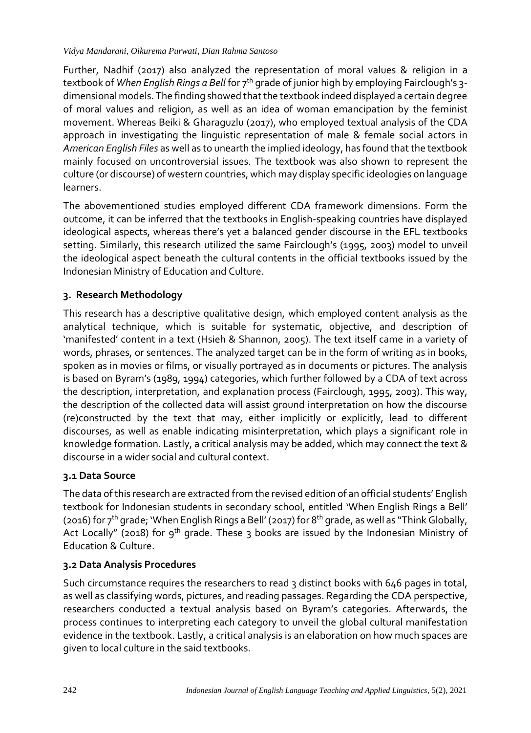#### *Vidya Mandarani, Oikurema Purwati, Dian Rahma Santoso*

Further, Nadhif (2017) also analyzed the representation of moral values & religion in a textbook of *When English Rings a Bell* for 7<sup>th</sup> grade of junior high by employing Fairclough's 3dimensional models. The finding showed that the textbook indeed displayed a certain degree of moral values and religion, as well as an idea of woman emancipation by the feminist movement. Whereas Beiki & Gharaguzlu (2017), who employed textual analysis of the CDA approach in investigating the linguistic representation of male & female social actors in *American English Files* as well as to unearth the implied ideology, has found that the textbook mainly focused on uncontroversial issues. The textbook was also shown to represent the culture (or discourse) of western countries, which may display specific ideologies on language learners.

The abovementioned studies employed different CDA framework dimensions. Form the outcome, it can be inferred that the textbooks in English-speaking countries have displayed ideological aspects, whereas there's yet a balanced gender discourse in the EFL textbooks setting. Similarly, this research utilized the same Fairclough's (1995, 2003) model to unveil the ideological aspect beneath the cultural contents in the official textbooks issued by the Indonesian Ministry of Education and Culture.

# **3. Research Methodology**

This research has a descriptive qualitative design, which employed content analysis as the analytical technique, which is suitable for systematic, objective, and description of 'manifested' content in a text (Hsieh & Shannon, 2005). The text itself came in a variety of words, phrases, or sentences. The analyzed target can be in the form of writing as in books, spoken as in movies or films, or visually portrayed as in documents or pictures. The analysis is based on Byram's (1989, 1994) categories, which further followed by a CDA of text across the description, interpretation, and explanation process (Fairclough, 1995, 2003). This way, the description of the collected data will assist ground interpretation on how the discourse (re)constructed by the text that may, either implicitly or explicitly, lead to different discourses, as well as enable indicating misinterpretation, which plays a significant role in knowledge formation. Lastly, a critical analysis may be added, which may connect the text & discourse in a wider social and cultural context.

## **3.1 Data Source**

The data of this research are extracted from the revised edition of an official students' English textbook for Indonesian students in secondary school, entitled 'When English Rings a Bell' (2016) for 7<sup>th</sup> grade; 'When English Rings a Bell' (2017) for 8<sup>th</sup> grade, as well as "Think Globally, Act Locally" (2018) for 9<sup>th</sup> grade. These 3 books are issued by the Indonesian Ministry of Education & Culture.

## **3.2 Data Analysis Procedures**

Such circumstance requires the researchers to read 3 distinct books with 646 pages in total, as well as classifying words, pictures, and reading passages. Regarding the CDA perspective, researchers conducted a textual analysis based on Byram's categories. Afterwards, the process continues to interpreting each category to unveil the global cultural manifestation evidence in the textbook. Lastly, a critical analysis is an elaboration on how much spaces are given to local culture in the said textbooks.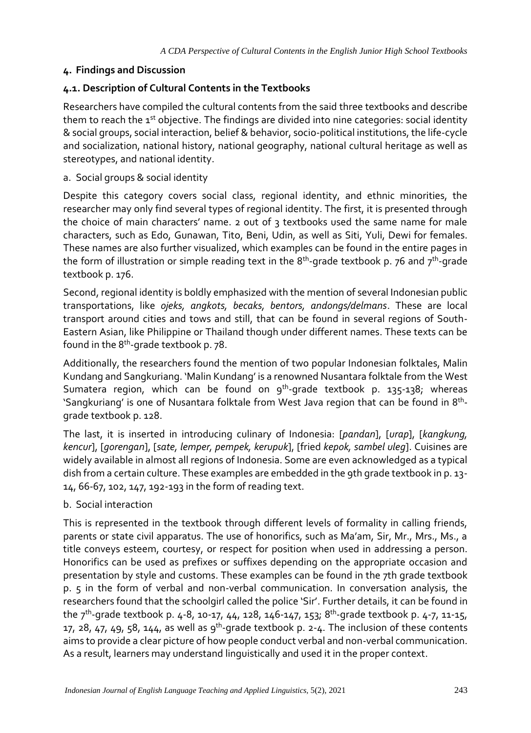## **4. Findings and Discussion**

## **4.1. Description of Cultural Contents in the Textbooks**

Researchers have compiled the cultural contents from the said three textbooks and describe them to reach the 1<sup>st</sup> objective. The findings are divided into nine categories: social identity & social groups, social interaction, belief & behavior, socio-political institutions, the life-cycle and socialization, national history, national geography, national cultural heritage as well as stereotypes, and national identity.

#### a. Social groups & social identity

Despite this category covers social class, regional identity, and ethnic minorities, the researcher may only find several types of regional identity. The first, it is presented through the choice of main characters' name. 2 out of 3 textbooks used the same name for male characters, such as Edo, Gunawan, Tito, Beni, Udin, as well as Siti, Yuli, Dewi for females. These names are also further visualized, which examples can be found in the entire pages in the form of illustration or simple reading text in the 8<sup>th</sup>-grade textbook p. 76 and 7<sup>th</sup>-grade textbook p. 176.

Second, regional identity is boldly emphasized with the mention of several Indonesian public transportations, like *ojeks, angkots, becaks, bentors, andongs/delmans*. These are local transport around cities and tows and still, that can be found in several regions of South-Eastern Asian, like Philippine or Thailand though under different names. These texts can be found in the 8<sup>th</sup>-grade textbook p. 78.

Additionally, the researchers found the mention of two popular Indonesian folktales, Malin Kundang and Sangkuriang. 'Malin Kundang' is a renowned Nusantara folktale from the West Sumatera region, which can be found on 9<sup>th</sup>-grade textbook p. 135-138; whereas 'Sangkuriang' is one of Nusantara folktale from West Java region that can be found in 8th grade textbook p. 128.

The last, it is inserted in introducing culinary of Indonesia: [*pandan*], [*urap*], [*kangkung, kencur*], [*gorengan*], [*sate, lemper, pempek, kerupuk*], [fried *kepok, sambel uleg*]. Cuisines are widely available in almost all regions of Indonesia. Some are even acknowledged as a typical dish from a certain culture. These examples are embedded in the 9th grade textbook in p. 13- 14, 66-67, 102, 147, 192-193 in the form of reading text.

## b. Social interaction

This is represented in the textbook through different levels of formality in calling friends, parents or state civil apparatus. The use of honorifics, such as Ma'am, Sir, Mr., Mrs., Ms., a title conveys esteem, courtesy, or respect for position when used in addressing a person. Honorifics can be used as prefixes or suffixes depending on the appropriate occasion and presentation by style and customs. These examples can be found in the 7th grade textbook p. 5 in the form of verbal and non-verbal communication. In conversation analysis, the researchers found that the schoolgirl called the police 'Sir'. Further details, it can be found in the 7<sup>th</sup>-grade textbook p. 4-8, 10-17, 44, 128, 146-147, 153; 8<sup>th</sup>-grade textbook p. 4-7, 11-15, 17, 28, 47, 49, 58, 144, as well as 9<sup>th</sup>-grade textbook p. 2-4. The inclusion of these contents aims to provide a clear picture of how people conduct verbal and non-verbal communication. As a result, learners may understand linguistically and used it in the proper context.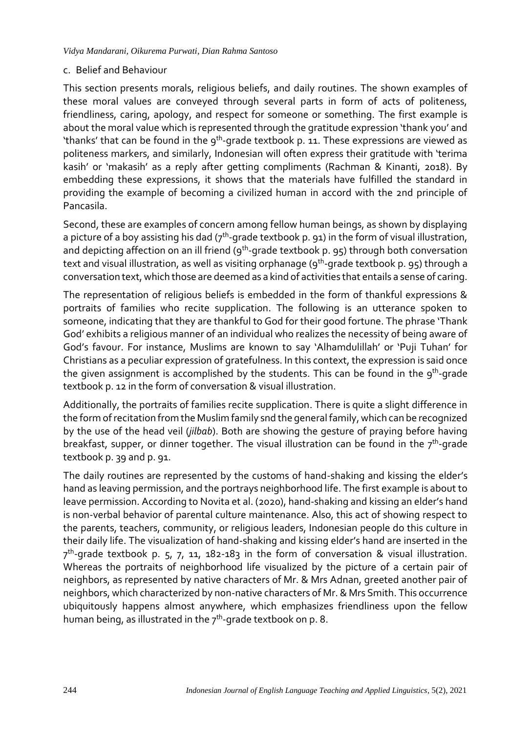#### c. Belief and Behaviour

This section presents morals, religious beliefs, and daily routines. The shown examples of these moral values are conveyed through several parts in form of acts of politeness, friendliness, caring, apology, and respect for someone or something. The first example is about the moral value which is represented through the gratitude expression 'thank you' and 'thanks' that can be found in the 9<sup>th</sup>-grade textbook p. 11. These expressions are viewed as politeness markers, and similarly, Indonesian will often express their gratitude with 'terima kasih' or 'makasih' as a reply after getting compliments (Rachman & Kinanti, 2018). By embedding these expressions, it shows that the materials have fulfilled the standard in providing the example of becoming a civilized human in accord with the 2nd principle of Pancasila.

Second, these are examples of concern among fellow human beings, as shown by displaying a picture of a boy assisting his dad (7<sup>th</sup>-grade textbook p. 91) in the form of visual illustration**,** and depicting affection on an ill friend (9<sup>th</sup>-grade textbook p. 95) through both conversation text and visual illustration, as well as visiting orphanage (9<sup>th</sup>-grade textbook p. 95) through a conversation text, which those are deemed as a kind of activities that entails a sense of caring.

The representation of religious beliefs is embedded in the form of thankful expressions & portraits of families who recite supplication. The following is an utterance spoken to someone, indicating that they are thankful to God for their good fortune. The phrase 'Thank God' exhibits a religious manner of an individual who realizes the necessity of being aware of God's favour. For instance, Muslims are known to say 'Alhamdulillah' or 'Puji Tuhan' for Christians as a peculiar expression of gratefulness. In this context, the expression is said once the given assignment is accomplished by the students. This can be found in the 9<sup>th</sup>-grade textbook p. 12 in the form of conversation & visual illustration.

Additionally, the portraits of families recite supplication. There is quite a slight difference in the form of recitation from the Muslim family snd the general family, which can be recognized by the use of the head veil (*jilbab*). Both are showing the gesture of praying before having breakfast, supper, or dinner together. The visual illustration can be found in the 7<sup>th</sup>-grade textbook p. 39 and p. 91.

The daily routines are represented by the customs of hand-shaking and kissing the elder's hand as leaving permission, and the portrays neighborhood life. The first example is about to leave permission. According to Novita et al. (2020), hand-shaking and kissing an elder's hand is non-verbal behavior of parental culture maintenance. Also, this act of showing respect to the parents, teachers, community, or religious leaders, Indonesian people do this culture in their daily life. The visualization of hand-shaking and kissing elder's hand are inserted in the 7 th -grade textbook p. 5, 7, 11, 182-183 in the form of conversation & visual illustration. Whereas the portraits of neighborhood life visualized by the picture of a certain pair of neighbors, as represented by native characters of Mr. & Mrs Adnan, greeted another pair of neighbors, which characterized by non-native characters of Mr. & Mrs Smith. This occurrence ubiquitously happens almost anywhere, which emphasizes friendliness upon the fellow human being, as illustrated in the 7 $^{\rm th}$ -grade textbook on p. 8.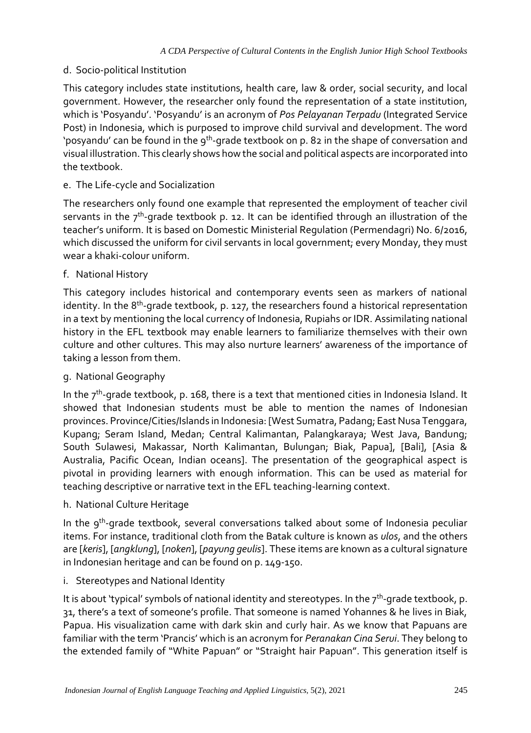#### d. Socio-political Institution

This category includes state institutions, health care, law & order, social security, and local government. However, the researcher only found the representation of a state institution, which is 'Posyandu'. 'Posyandu' is an acronym of *Pos Pelayanan Terpadu* (Integrated Service Post) in Indonesia, which is purposed to improve child survival and development. The word 'posyandu' can be found in the 9<sup>th</sup>-grade textbook on p. 82 in the shape of conversation and visual illustration. This clearly shows how the social and political aspects are incorporated into the textbook.

e. The Life-cycle and Socialization

The researchers only found one example that represented the employment of teacher civil servants in the 7<sup>th</sup>-grade textbook p. 12. It can be identified through an illustration of the teacher's uniform. It is based on Domestic Ministerial Regulation (Permendagri) No. 6/2016, which discussed the uniform for civil servants in local government; every Monday, they must wear a khaki-colour uniform.

f. National History

This category includes historical and contemporary events seen as markers of national identity. In the 8<sup>th</sup>-grade textbook, p. 127, the researchers found a historical representation in a text by mentioning the local currency of Indonesia, Rupiahs or IDR. Assimilating national history in the EFL textbook may enable learners to familiarize themselves with their own culture and other cultures. This may also nurture learners' awareness of the importance of taking a lesson from them.

g. National Geography

In the  $7^{\rm th}$ -grade textbook, p. 168, there is a text that mentioned cities in Indonesia Island. It showed that Indonesian students must be able to mention the names of Indonesian provinces. Province/Cities/Islands in Indonesia: [West Sumatra, Padang; East Nusa Tenggara, Kupang; Seram Island, Medan; Central Kalimantan, Palangkaraya; West Java, Bandung; South Sulawesi, Makassar, North Kalimantan, Bulungan; Biak, Papua], [Bali], [Asia & Australia, Pacific Ocean, Indian oceans]. The presentation of the geographical aspect is pivotal in providing learners with enough information. This can be used as material for teaching descriptive or narrative text in the EFL teaching-learning context.

h. National Culture Heritage

In the 9<sup>th</sup>-grade textbook, several conversations talked about some of Indonesia peculiar items. For instance, traditional cloth from the Batak culture is known as *ulos*, and the others are [*keris*], [*angklung*], [*noken*], [*payung geulis*]. These items are known as a cultural signature in Indonesian heritage and can be found on p. 149-150.

i. Stereotypes and National Identity

It is about 'typical' symbols of national identity and stereotypes. In the  $7^{\rm th}$ -grade textbook, p. 31, there's a text of someone's profile. That someone is named Yohannes & he lives in Biak, Papua. His visualization came with dark skin and curly hair. As we know that Papuans are familiar with the term 'Prancis' which is an acronym for *Peranakan Cina Serui*. They belong to the extended family of "White Papuan" or "Straight hair Papuan". This generation itself is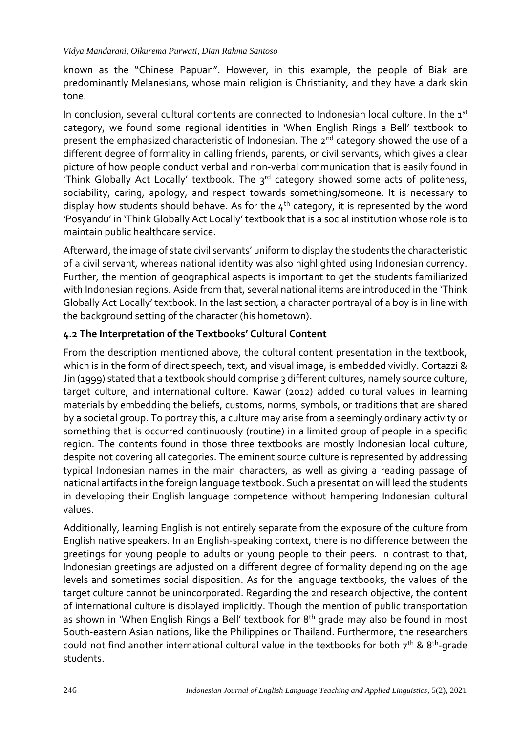known as the "Chinese Papuan". However, in this example, the people of Biak are predominantly Melanesians, whose main religion is Christianity, and they have a dark skin tone.

In conclusion, several cultural contents are connected to Indonesian local culture. In the 1<sup>st</sup> category, we found some regional identities in 'When English Rings a Bell' textbook to present the emphasized characteristic of Indonesian. The 2<sup>nd</sup> category showed the use of a different degree of formality in calling friends, parents, or civil servants, which gives a clear picture of how people conduct verbal and non-verbal communication that is easily found in 'Think Globally Act Locally' textbook. The 3<sup>rd</sup> category showed some acts of politeness, sociability, caring, apology, and respect towards something/someone. It is necessary to display how students should behave. As for the  $4<sup>th</sup>$  category, it is represented by the word 'Posyandu' in 'Think Globally Act Locally' textbook that is a social institution whose role is to maintain public healthcare service.

Afterward, the image of state civil servants' uniform to display the students the characteristic of a civil servant, whereas national identity was also highlighted using Indonesian currency. Further, the mention of geographical aspects is important to get the students familiarized with Indonesian regions. Aside from that, several national items are introduced in the 'Think Globally Act Locally' textbook. In the last section, a character portrayal of a boy is in line with the background setting of the character (his hometown).

## **4.2 The Interpretation of the Textbooks' Cultural Content**

From the description mentioned above, the cultural content presentation in the textbook, which is in the form of direct speech, text, and visual image, is embedded vividly. Cortazzi & Jin (1999) stated that a textbook should comprise 3 different cultures, namely source culture, target culture, and international culture. Kawar (2012) added cultural values in learning materials by embedding the beliefs, customs, norms, symbols, or traditions that are shared by a societal group. To portray this, a culture may arise from a seemingly ordinary activity or something that is occurred continuously (routine) in a limited group of people in a specific region. The contents found in those three textbooks are mostly Indonesian local culture, despite not covering all categories. The eminent source culture is represented by addressing typical Indonesian names in the main characters, as well as giving a reading passage of national artifacts in the foreign language textbook. Such a presentation will lead the students in developing their English language competence without hampering Indonesian cultural values.

Additionally, learning English is not entirely separate from the exposure of the culture from English native speakers. In an English-speaking context, there is no difference between the greetings for young people to adults or young people to their peers. In contrast to that, Indonesian greetings are adjusted on a different degree of formality depending on the age levels and sometimes social disposition. As for the language textbooks, the values of the target culture cannot be unincorporated. Regarding the 2nd research objective, the content of international culture is displayed implicitly. Though the mention of public transportation as shown in 'When English Rings a Bell' textbook for  $8<sup>th</sup>$  grade may also be found in most South-eastern Asian nations, like the Philippines or Thailand. Furthermore, the researchers could not find another international cultural value in the textbooks for both  $7^{\text{th}}$  & 8<sup>th</sup>-grade students.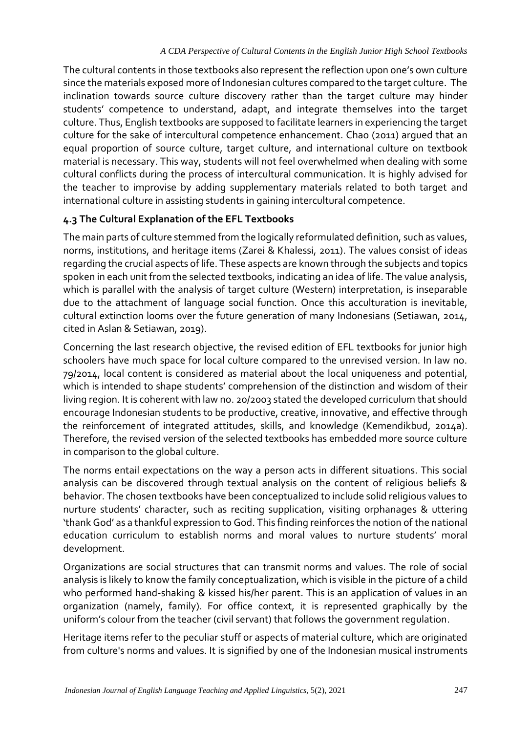The cultural contents in those textbooks also represent the reflection upon one's own culture since the materials exposed more of Indonesian cultures compared to the target culture. The inclination towards source culture discovery rather than the target culture may hinder students' competence to understand, adapt, and integrate themselves into the target culture. Thus, English textbooks are supposed to facilitate learners in experiencing the target culture for the sake of intercultural competence enhancement. Chao (2011) argued that an equal proportion of source culture, target culture, and international culture on textbook material is necessary. This way, students will not feel overwhelmed when dealing with some cultural conflicts during the process of intercultural communication. It is highly advised for the teacher to improvise by adding supplementary materials related to both target and international culture in assisting students in gaining intercultural competence.

## **4.3 The Cultural Explanation of the EFL Textbooks**

The main parts of culture stemmed from the logically reformulated definition, such as values, norms, institutions, and heritage items (Zarei & Khalessi, 2011). The values consist of ideas regarding the crucial aspects of life. These aspects are known through the subjects and topics spoken in each unit from the selected textbooks, indicating an idea of life. The value analysis, which is parallel with the analysis of target culture (Western) interpretation, is inseparable due to the attachment of language social function. Once this acculturation is inevitable, cultural extinction looms over the future generation of many Indonesians (Setiawan, 2014, cited in Aslan & Setiawan, 2019).

Concerning the last research objective, the revised edition of EFL textbooks for junior high schoolers have much space for local culture compared to the unrevised version. In law no. 79/2014, local content is considered as material about the local uniqueness and potential, which is intended to shape students' comprehension of the distinction and wisdom of their living region. It is coherent with law no. 20/2003 stated the developed curriculum that should encourage Indonesian students to be productive, creative, innovative, and effective through the reinforcement of integrated attitudes, skills, and knowledge (Kemendikbud, 2014a). Therefore, the revised version of the selected textbooks has embedded more source culture in comparison to the global culture.

The norms entail expectations on the way a person acts in different situations. This social analysis can be discovered through textual analysis on the content of religious beliefs & behavior. The chosen textbooks have been conceptualized to include solid religious values to nurture students' character, such as reciting supplication, visiting orphanages & uttering 'thank God' as a thankful expression to God. This finding reinforces the notion of the national education curriculum to establish norms and moral values to nurture students' moral development.

Organizations are social structures that can transmit norms and values. The role of social analysis is likely to know the family conceptualization, which is visible in the picture of a child who performed hand-shaking & kissed his/her parent. This is an application of values in an organization (namely, family). For office context, it is represented graphically by the uniform's colour from the teacher (civil servant) that follows the government regulation.

Heritage items refer to the peculiar stuff or aspects of material culture, which are originated from culture's norms and values. It is signified by one of the Indonesian musical instruments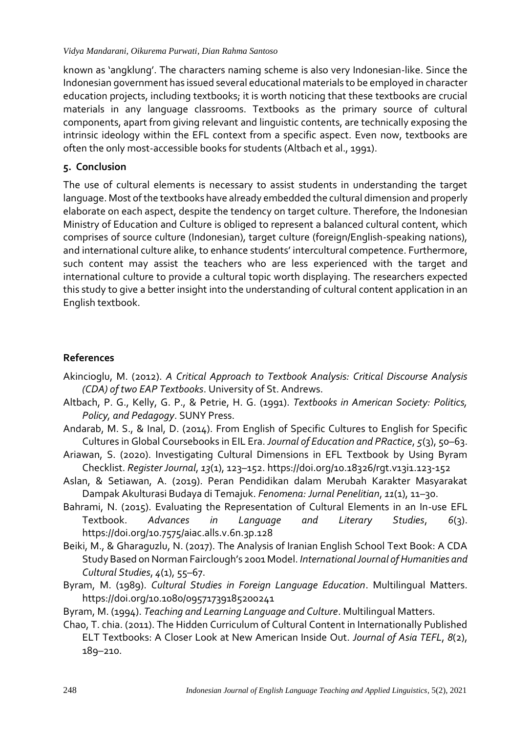known as 'angklung'. The characters naming scheme is also very Indonesian-like. Since the Indonesian government has issued several educational materials to be employed in character education projects, including textbooks; it is worth noticing that these textbooks are crucial materials in any language classrooms. Textbooks as the primary source of cultural components, apart from giving relevant and linguistic contents, are technically exposing the intrinsic ideology within the EFL context from a specific aspect. Even now, textbooks are often the only most-accessible books for students (Altbach et al., 1991).

## **5. Conclusion**

The use of cultural elements is necessary to assist students in understanding the target language. Most of the textbooks have already embedded the cultural dimension and properly elaborate on each aspect, despite the tendency on target culture. Therefore, the Indonesian Ministry of Education and Culture is obliged to represent a balanced cultural content, which comprises of source culture (Indonesian), target culture (foreign/English-speaking nations), and international culture alike, to enhance students' intercultural competence. Furthermore, such content may assist the teachers who are less experienced with the target and international culture to provide a cultural topic worth displaying. The researchers expected this study to give a better insight into the understanding of cultural content application in an English textbook.

# **References**

- Akincioglu, M. (2012). *A Critical Approach to Textbook Analysis: Critical Discourse Analysis (CDA) of two EAP Textbooks*. University of St. Andrews.
- Altbach, P. G., Kelly, G. P., & Petrie, H. G. (1991). *Textbooks in American Society: Politics, Policy, and Pedagogy*. SUNY Press.
- Andarab, M. S., & Inal, D. (2014). From English of Specific Cultures to English for Specific Cultures in Global Coursebooks in EIL Era. *Journal of Education and PRactice*, *5*(3), 50–63.
- Ariawan, S. (2020). Investigating Cultural Dimensions in EFL Textbook by Using Byram Checklist. *Register Journal*, *13*(1), 123–152. https://doi.org/10.18326/rgt.v13i1.123-152
- Aslan, & Setiawan, A. (2019). Peran Pendidikan dalam Merubah Karakter Masyarakat Dampak Akulturasi Budaya di Temajuk. *Fenomena: Jurnal Penelitian*, *11*(1), 11–30.
- Bahrami, N. (2015). Evaluating the Representation of Cultural Elements in an In-use EFL Textbook. *Advances in Language and Literary Studies*, *6*(3). https://doi.org/10.7575/aiac.alls.v.6n.3p.128
- Beiki, M., & Gharaguzlu, N. (2017). The Analysis of Iranian English School Text Book: A CDA Study Based on Norman Fairclough's 2001 Model. *International Journal of Humanities and Cultural Studies*, *4*(1), 55–67.
- Byram, M. (1989). *Cultural Studies in Foreign Language Education*. Multilingual Matters. https://doi.org/10.1080/09571739185200241
- Byram, M. (1994). *Teaching and Learning Language and Culture*. Multilingual Matters.
- Chao, T. chia. (2011). The Hidden Curriculum of Cultural Content in Internationally Published ELT Textbooks: A Closer Look at New American Inside Out. *Journal of Asia TEFL*, *8*(2), 189–210.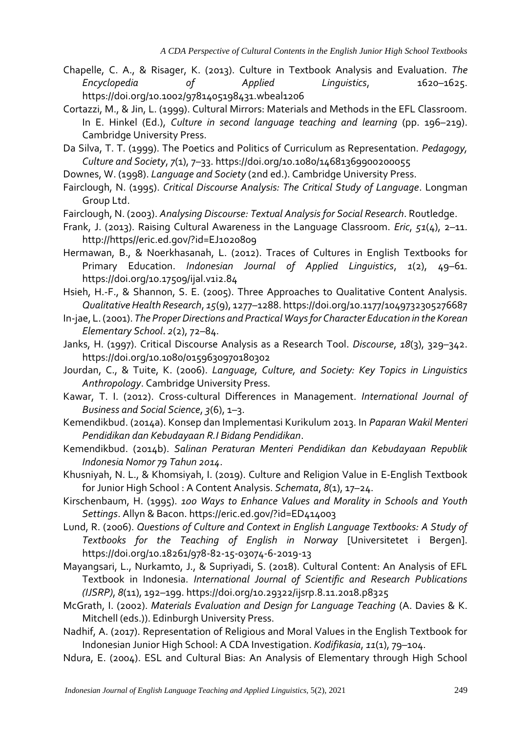- Chapelle, C. A., & Risager, K. (2013). Culture in Textbook Analysis and Evaluation. *The Encyclopedia of Applied Linguistics*, 1620–1625. https://doi.org/10.1002/9781405198431.wbeal1206
- Cortazzi, M., & Jin, L. (1999). Cultural Mirrors: Materials and Methods in the EFL Classroom. In E. Hinkel (Ed.), *Culture in second language teaching and learning* (pp. 196–219). Cambridge University Press.
- Da Silva, T. T. (1999). The Poetics and Politics of Curriculum as Representation. *Pedagogy, Culture and Society*, *7*(1), 7–33. https://doi.org/10.1080/14681369900200055
- Downes, W. (1998). *Language and Society* (2nd ed.). Cambridge University Press.
- Fairclough, N. (1995). *Critical Discourse Analysis: The Critical Study of Language*. Longman Group Ltd.
- Fairclough, N. (2003). *Analysing Discourse: Textual Analysis for Social Research*. Routledge.
- Frank, J. (2013). Raising Cultural Awareness in the Language Classroom. *Eric*, *51*(4), 2–11. http://https//eric.ed.gov/?id=EJ1020809
- Hermawan, B., & Noerkhasanah, L. (2012). Traces of Cultures in English Textbooks for Primary Education. *Indonesian Journal of Applied Linguistics*, *1*(2), 49–61. https://doi.org/10.17509/ijal.v1i2.84
- Hsieh, H.-F., & Shannon, S. E. (2005). Three Approaches to Qualitative Content Analysis. *Qualitative Health Research*, *15*(9), 1277–1288. https://doi.org/10.1177/1049732305276687
- In-jae, L. (2001). *The Proper Directions and Practical Ways for Character Education in the Korean Elementary School*. *2*(2), 72–84.
- Janks, H. (1997). Critical Discourse Analysis as a Research Tool. *Discourse*, *18*(3), 329–342. https://doi.org/10.1080/0159630970180302
- Jourdan, C., & Tuite, K. (2006). *Language, Culture, and Society: Key Topics in Linguistics Anthropology*. Cambridge University Press.
- Kawar, T. I. (2012). Cross-cultural Differences in Management. *International Journal of Business and Social Science*, *3*(6), 1–3.
- Kemendikbud. (2014a). Konsep dan Implementasi Kurikulum 2013. In *Paparan Wakil Menteri Pendidikan dan Kebudayaan R.I Bidang Pendidikan*.
- Kemendikbud. (2014b). *Salinan Peraturan Menteri Pendidikan dan Kebudayaan Republik Indonesia Nomor 79 Tahun 2014*.
- Khusniyah, N. L., & Khomsiyah, I. (2019). Culture and Religion Value in E-English Textbook for Junior High School : A Content Analysis. *Schemata*, *8*(1), 17–24.
- Kirschenbaum, H. (1995). *100 Ways to Enhance Values and Morality in Schools and Youth Settings*. Allyn & Bacon. https://eric.ed.gov/?id=ED414003
- Lund, R. (2006). *Questions of Culture and Context in English Language Textbooks: A Study of Textbooks for the Teaching of English in Norway* [Universitetet i Bergen]. https://doi.org/10.18261/978-82-15-03074-6-2019-13
- Mayangsari, L., Nurkamto, J., & Supriyadi, S. (2018). Cultural Content: An Analysis of EFL Textbook in Indonesia. *International Journal of Scientific and Research Publications (IJSRP)*, *8*(11), 192–199. https://doi.org/10.29322/ijsrp.8.11.2018.p8325
- McGrath, I. (2002). *Materials Evaluation and Design for Language Teaching* (A. Davies & K. Mitchell (eds.)). Edinburgh University Press.
- Nadhif, A. (2017). Representation of Religious and Moral Values in the English Textbook for Indonesian Junior High School: A CDA Investigation. *Kodifikasia*, *11*(1), 79–104.
- Ndura, E. (2004). ESL and Cultural Bias: An Analysis of Elementary through High School